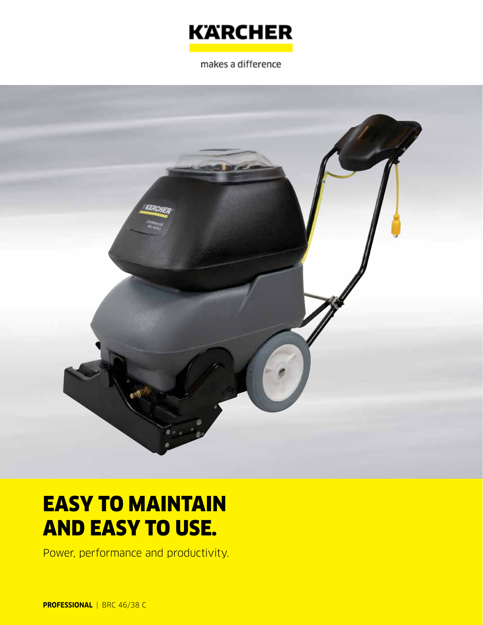

makes a difference



# EASY TO MAINTAIN AND EASY TO USE.

Power, performance and productivity.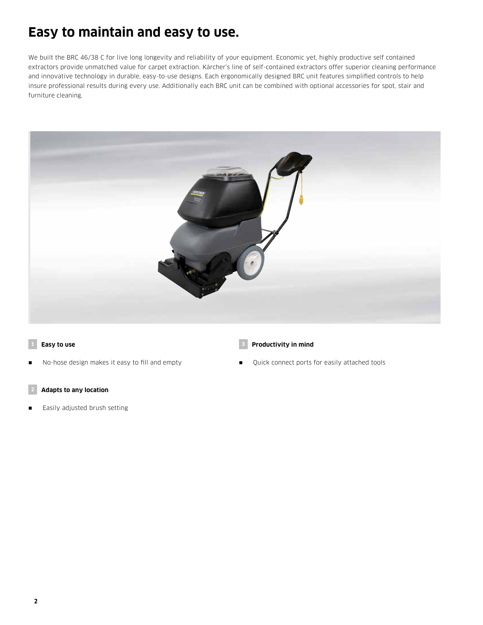## **Easy to maintain and easy to use.**

We built the BRC 46/38 C for live long longevity and reliability of your equipment. Economic yet, highly productive self contained extractors provide unmatched value for carpet extraction. Kärcher's line of self-contained extractors offer superior cleaning performance and innovative technology in durable, easy-to-use designs. Each ergonomically designed BRC unit features simplified controls to help insure professional results during every use. Additionally each BRC unit can be combined with optional accessories for spot, stair and furniture cleaning.



#### **1 Easy to use**

No-hose design makes it easy to fill and empty

#### **2 Adapts to any location**

Easily adjusted brush setting

#### **3 Productivity in mind**

**Quick connect ports for easily attached tools**